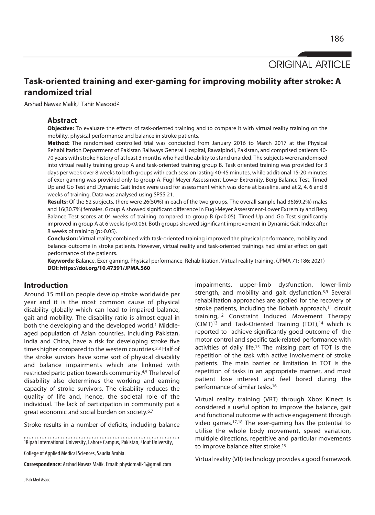ORIGINAL ARTICLE

# **Task-oriented training and exer-gaming for improving mobility after stroke: A randomized trial**

Arshad Nawaz Malik,1 Tahir Masood2

## **Abstract**

**Objective:** To evaluate the effects of task-oriented training and to compare it with virtual reality training on the mobility, physical performance and balance in stroke patients.

**Method:** The randomised controlled trial was conducted from January 2016 to March 2017 at the Physical Rehabilitation Department of Pakistan Railways General Hospital, Rawalpindi, Pakistan, and comprised patients 40- 70 years with stroke history of at least 3 months who had the ability to stand unaided. The subjects were randomised into virtual reality training group A and task-oriented training group B. Task oriented training was provided for 3 days per week over 8 weeks to both groups with each session lasting 40-45 minutes, while additional 15-20 minutes of exer-gaming was provided only to group A. Fugl-Meyer Assessment-Lower Extremity, Berg Balance Test, Timed Up and Go Test and Dynamic Gait Index were used for assessment which was done at baseline, and at 2, 4, 6 and 8 weeks of training. Data was analysed using SPSS 21.

**Results:** Of the 52 subjects, there were 26(50%) in each of the two groups. The overall sample had 36(69.2%) males and 16(30.7%) females. Group A showed significant difference in Fugl-Meyer Assessment-Lower Extremity and Berg Balance Test scores at 04 weeks of training compared to group B (p<0.05). Timed Up and Go Test significantly improved in group A at 6 weeks (p<0.05). Both groups showed significant improvement in Dynamic Gait Index after 8 weeks of training (p>0.05).

**Conclusion:** Virtual reality combined with task-oriented training improved the physical performance, mobility and balance outcome in stroke patients. However, virtual reality and task-oriented trainings had similar effect on gait performance of the patients.

**Keywords:** Balance, Exer-gaming, Physical performance, Rehabilitation, Virtual reality training. (JPMA 71: 186; 2021) **DOI: https://doi.org/10.47391/JPMA.560** 

## **Introduction**

Around 15 million people develop stroke worldwide per year and it is the most common cause of physical disability globally which can lead to impaired balance, gait and mobility. The disability ratio is almost equal in both the developing and the developed world.<sup>1</sup> Middleaged population of Asian countries, including Pakistan, India and China, have a risk for developing stroke five times higher compared to the western countries.<sup>2,3</sup> Half of the stroke surviors have some sort of physical disability and balance impairments which are linkned with restricted partcipation towards community.4,5 The level of disability also determines the working and earning capacity of stroke survivors. The disability reduces the quality of life and, hence, the societal role of the individual. The lack of participation in community put a great economic and social burden on society.6,7

Stroke results in a number of deficits, including balance

<sup>1</sup>Ripah International University, Lahore Campus, Pakistan, <sup>2</sup>Jouf University,

College of Applied Medical Sciences, Saudia Arabia.

**Correspondence:** Arshad Nawaz Malik. Email: physiomalik1@gmail.com

impairments, upper-limb dysfunction, lower-limb strength, and mobility and gait dysfunction.8,9 Several rehabilitation approaches are applied for the recovery of stroke patients, including the Bobath approach,<sup>11</sup> circuit training,12 Constraint Induced Movement Therapy (CIMT)13 and Task-Oriented Training (TOT),14 which is reported to achieve significantly good outcome of the motor control and specific task-related performance with activities of daily life.15 The missing part of TOT is the repetition of the task with active involvement of stroke patients. The main barrier or limitation in TOT is the repetition of tasks in an appropriate manner, and most patient lose interest and feel bored during the performance of similar tasks.16

Virtual reality training (VRT) through Xbox Kinect is considered a useful option to improve the balance, gait and functional outcome with active engagement through video games.17,18 The exer-gaming has the potential to utilise the whole body movement, speed variation, multiple directions, repetitive and particular movements to improve balance after stroke.19

Virtual reality (VR) technology provides a good framework

J Pak Med Assoc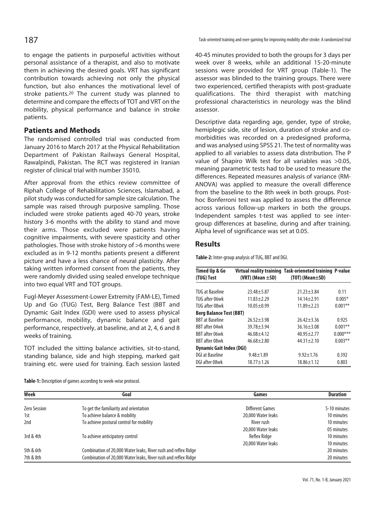to engage the patients in purposeful activities without personal assistance of a therapist, and also to motivate them in achieving the desired goals. VRT has significant contribution towards achieving not only the physical function, but also enhances the motivational level of stroke patients.20 The current study was planned to determine and compare the effects of TOT and VRT on the mobility, physical performance and balance in stroke patients.

## **Patients and Methods**

The randomised controlled trial was conducted from January 2016 to March 2017 at the Physical Rehabilitation Department of Pakistan Railways General Hospital, Rawalpindi, Pakistan. The RCT was registered in Iranian register of clinical trial with number 35010.

After approval from the ethics review committee of Riphah College of Rehabilitation Sciences, Islamabad, a pilot study was conducted for sample size calculation. The sample was raised through purposive sampling. Those included were stroke patients aged 40-70 years, stroke history 3-6 months with the ability to stand and move their arms. Those excluded were patients having cognitive impairments, with severe spasticity and other pathologies. Those with stroke history of >6 months were excluded as in 9-12 months patients present a different picture and have a less chance of neural plasticity. After taking written informed consent from the patients, they were randomly divided using sealed envelope technique into two equal VRT and TOT groups.

Fugl-Meyer Assessment-Lower Extremity (FAM-LE), Timed Up and Go (TUG) Test, Berg Balance Test (BBT and Dynamic Gait Index (GDI) were used to assess physical performance, mobility, dynamic balance and gait performance, respectively, at baseline, and at 2, 4, 6 and 8 weeks of training.

TOT included the sitting balance activities, sit-to-stand, standing balance, side and high stepping, marked gait training etc. were used for training. Each session lasted

187 Task-oriented training and exer-gaming for improving mobility after stroke: A randomized trial

40-45 minutes provided to both the groups for 3 days per week over 8 weeks, while an additional 15-20-minute sessions were provided for VRT group (Table-1). The assessor was blinded to the training groups. There were two experienced, certified therapists with post-graduate qualifications. The third therapist with matching professional characteristics in neurology was the blind assessor.

Descriptive data regarding age, gender, type of stroke, hemiplegic side, site of lesion, duration of stroke and comorbidities was recorded on a predesigned proforma, and was analysed using SPSS 21. The test of normality was applied to all variables to assess data distribution. The P value of Shapiro Wilk test for all variables was >0.05, meaning parametric tests had to be used to measure the differences. Repeated measures analysis of variance (RM-ANOVA) was applied to measure the overall difference from the baseline to the 8th week in both groups. Posthoc Bonferroni test was applied to assess the difference across various follow-up markers in both the groups. Independent samples t-test was applied to see intergroup differences at baseline, during and after training. Alpha level of significance was set at 0.05.

## **Results**

**Table-2:** Inter-group analysis of TUG, BBT and DGI.

| Timed Up & Go<br>(TUG) Test     | $(VRT)$ (Mean $\pm SD$ ) | Virtual reality training Task-orieneted training P-value<br>$(TOT)$ (Mean $\pm$ SD) |            |  |
|---------------------------------|--------------------------|-------------------------------------------------------------------------------------|------------|--|
|                                 |                          |                                                                                     |            |  |
| <b>TUG at Baseline</b>          | $23.48 + 5.87$           | $21.23 \pm 3.84$                                                                    | 0.11       |  |
| TUG after 06wk                  | $11.83 + 2.29$           | $14.14 \pm 2.91$                                                                    | $0.005*$   |  |
| TUG after 08wk                  | $10.05 \pm 0.99$         | $11.89 + 2.23$                                                                      | $0.001**$  |  |
| <b>Berg Balance Test (BBT)</b>  |                          |                                                                                     |            |  |
| <b>BBT</b> at Baseline          | $26.52 + 3.98$           | $76.42 + 3.36$                                                                      | 0.925      |  |
| <b>BBT after 04wk</b>           | $39.78 + 3.94$           | $36.16 \pm 3.08$                                                                    | $0.001**$  |  |
| <b>BBT</b> after 06wk           | $46.08 + 4.12$           | $40.95 + 2.77$                                                                      | $0.000***$ |  |
| <b>BBT</b> after 08wk           | $46.68 + 2.80$           | $44.31 \pm 2.10$                                                                    | $0.003**$  |  |
| <b>Dynamic Gait Index (DGI)</b> |                          |                                                                                     |            |  |
| DGI at Baseline                 | $9.48 + 1.89$            | $9.92 \pm 1.76$                                                                     | 0.392      |  |
| DGI after 08wk                  | $18.77 + 1.26$           | $18.86 \pm 1.12$                                                                    | 0.803      |  |

| Week         | Goal                                                           | Games                  | <b>Duration</b> |
|--------------|----------------------------------------------------------------|------------------------|-----------------|
| Zero Session | To get the familiarity and orientation                         | <b>Different Games</b> | 5-10 minutes    |
| 1st          | To achieve balance & mobility                                  | 20,000 Water leaks     | 10 minutes      |
| 2nd          | To achieve postural control for mobility                       | River rush             | 10 minutes      |
|              |                                                                | 20,000 Water leaks     | 05 minutes      |
| 3rd & 4th    | To achieve anticipatory control                                | Reflex Ridge           | 10 minutes      |
|              |                                                                | 20,000 Water leaks     | 10 minutes      |
| 5th & 6th    | Combination of 20,000 Water leaks, River rush and reflex Ridge |                        | 20 minutes      |
| 7th & 8th    | Combination of 20,000 Water leaks, River rush and reflex Ridge |                        | 20 minutes      |

**Table-1:** Description of games according to week-wise protocol.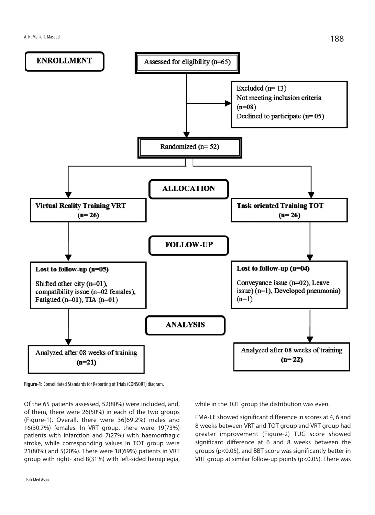

**Figure-1:** Consolidated Standards for Reporting of Trials (CONSORT) diagram.

Of the 65 patients assessed, 52(80%) were included, and, of them, there were 26(50%) in each of the two groups (Figure-1). Overall, there were 36(69.2%) males and 16(30.7%) females. In VRT group, there were 19(73%) patients with infarction and 7(27%) with haemorrhagic stroke, while corresponding values in TOT group were 21(80%) and 5(20%). There were 18(69%) patients in VRT group with right- and 8(31%) with left-sided hemiplegia,

FMA-LE showed significant difference in scores at 4, 6 and

8 weeks between VRT and TOT group and VRT group had greater improvement (Figure-2) TUG score showed significant difference at 6 and 8 weeks between the groups (p<0.05), and BBT score was significantly better in VRT group at similar follow-up points (p<0.05). There was

while in the TOT group the distribution was even.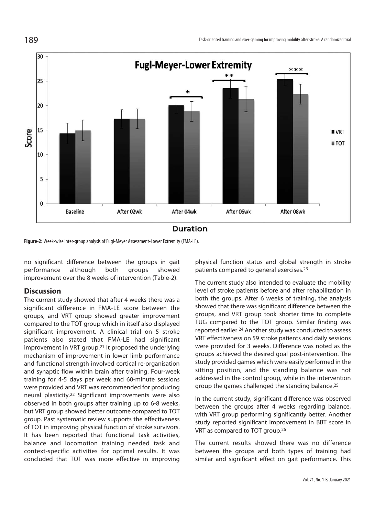

### Duration

**Figure-2:** Week-wise inter-group analysis of Fugl-Meyer Assessment-Lower Extremity (FMA-LE).

no significant difference between the groups in gait performance although both groups showed improvement over the 8 weeks of intervention (Table-2).

### **Discussion**

The current study showed that after 4 weeks there was a significant difference in FMA-LE score between the groups, and VRT group showed greater improvement compared to the TOT group which in itself also displayed significant improvement. A clinical trial on 5 stroke patients also stated that FMA-LE had significant improvement in VRT group.21 It proposed the underlying mechanism of improvement in lower limb performance and functional strength involved cortical re-organisation and synaptic flow within brain after training. Four-week training for 4-5 days per week and 60-minute sessions were provided and VRT was recommended for producing neural plasticity.22 Significant improvements were also observed in both groups after training up to 6-8 weeks, but VRT group showed better outcome compared to TOT group. Past systematic review supports the effectiveness of TOT in improving physical function of stroke survivors. It has been reported that functional task activities, balance and locomotion training needed task and context-specific activities for optimal results. It was concluded that TOT was more effective in improving physical function status and global strength in stroke patients compared to general exercises.23

The current study also intended to evaluate the mobility level of stroke patients before and after rehabilitation in both the groups. After 6 weeks of training, the analysis showed that there was significant difference between the groups, and VRT group took shorter time to complete TUG compared to the TOT group. Similar finding was reported earlier.24 Another study was conducted to assess VRT effectiveness on 59 stroke patients and daily sessions were provided for 3 weeks. Difference was noted as the groups achieved the desired goal post-intervention. The study provided games which were easily performed in the sitting position, and the standing balance was not addressed in the control group, while in the intervention group the games challenged the standing balance.25

In the current study, significant difference was observed between the groups after 4 weeks regarding balance, with VRT group performing significantly better. Another study reported significant improvement in BBT score in VRT as compared to TOT group.26

The current results showed there was no difference between the groups and both types of training had similar and significant effect on gait performance. This